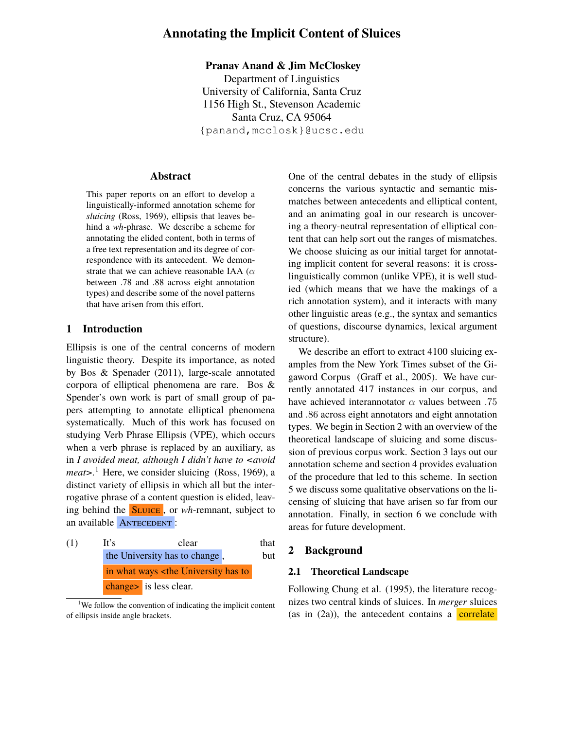# **Annotating the Implicit Content of Sluices**

### **Pranav Anand & Jim McCloskey**

Department of Linguistics University of California, Santa Cruz 1156 High St., Stevenson Academic Santa Cruz, CA 95064 {panand,mcclosk}@ucsc.edu

#### **Abstract**

This paper reports on an effort to develop a linguistically-informed annotation scheme for *sluicing* (Ross, 1969), ellipsis that leaves behind a *wh*-phrase. We describe a scheme for annotating the elided content, both in terms of a free text representation and its degree of correspondence with its antecedent. We demonstrate that we can achieve reasonable IAA ( $\alpha$ between .78 and .88 across eight annotation types) and describe some of the novel patterns that have arisen from this effort.

# **1 Introduction**

Ellipsis is one of the central concerns of modern linguistic theory. Despite its importance, as noted by Bos & Spenader (2011), large-scale annotated corpora of elliptical phenomena are rare. Bos & Spender's own work is part of small group of papers attempting to annotate elliptical phenomena systematically. Much of this work has focused on studying Verb Phrase Ellipsis (VPE), which occurs when a verb phrase is replaced by an auxiliary, as in *I avoided meat, although I didn't have to <avoid meat*>.<sup>1</sup> Here, we consider sluicing (Ross, 1969), a distinct variety of ellipsis in which all but the interrogative phrase of a content question is elided, leaving behind the Sluice , or *wh*-remnant, subject to an available ANTECEDENT :

(1) It's clear that the University has to change, but in what ways <the University has to change> is less clear.

One of the central debates in the study of ellipsis concerns the various syntactic and semantic mismatches between antecedents and elliptical content, and an animating goal in our research is uncovering a theory-neutral representation of elliptical content that can help sort out the ranges of mismatches. We choose sluicing as our initial target for annotating implicit content for several reasons: it is crosslinguistically common (unlike VPE), it is well studied (which means that we have the makings of a rich annotation system), and it interacts with many other linguistic areas (e.g., the syntax and semantics of questions, discourse dynamics, lexical argument structure).

We describe an effort to extract 4100 sluicing examples from the New York Times subset of the Gigaword Corpus (Graff et al., 2005). We have currently annotated 417 instances in our corpus, and have achieved interannotator  $\alpha$  values between .75 and .86 across eight annotators and eight annotation types. We begin in Section 2 with an overview of the theoretical landscape of sluicing and some discussion of previous corpus work. Section 3 lays out our annotation scheme and section 4 provides evaluation of the procedure that led to this scheme. In section 5 we discuss some qualitative observations on the licensing of sluicing that have arisen so far from our annotation. Finally, in section 6 we conclude with areas for future development.

### **2 Background**

### **2.1 Theoretical Landscape**

Following Chung et al. (1995), the literature recognizes two central kinds of sluices. In *merger* sluices (as in  $(2a)$ ), the antecedent contains a correlate

<sup>&</sup>lt;sup>1</sup>We follow the convention of indicating the implicit content of ellipsis inside angle brackets.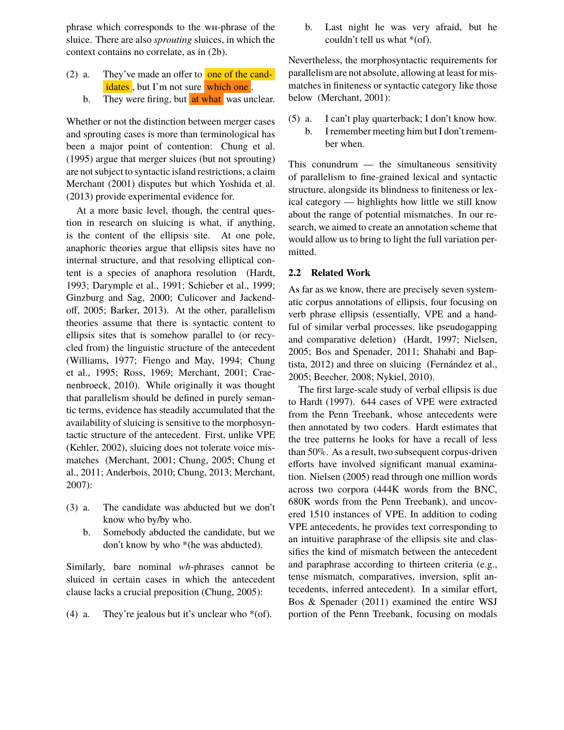phrase which corresponds to the wh-phrase of the sluice. There are also *sprouting* sluices, in which the context contains no correlate, as in (2b).

- (2) a. They've made an offer to one of the candidates, but I'm not sure which one.
	- b. They were firing, but at what was unclear.

Whether or not the distinction between merger cases and sprouting cases is more than terminological has been a major point of contention: Chung et al. (1995) argue that merger sluices (but not sprouting) are not subject to syntactic island restrictions, a claim Merchant (2001) disputes but which Yoshida et al. (2013) provide experimental evidence for.

At a more basic level, though, the central question in research on sluicing is what, if anything, is the content of the ellipsis site. At one pole, anaphoric theories argue that ellipsis sites have no internal structure, and that resolving elliptical content is a species of anaphora resolution (Hardt, 1993; Darymple et al., 1991; Schieber et al., 1999; Ginzburg and Sag, 2000; Culicover and Jackendoff, 2005; Barker, 2013). At the other, parallelism theories assume that there is syntactic content to ellipsis sites that is somehow parallel to (or recycled from) the linguistic structure of the antecedent (Williams, 1977; Fiengo and May, 1994; Chung et al., 1995; Ross, 1969; Merchant, 2001; Craenenbroeck, 2010). While originally it was thought that parallelism should be defined in purely semantic terms, evidence has steadily accumulated that the availability of sluicing is sensitive to the morphosyntactic structure of the antecedent. First, unlike VPE (Kehler, 2002), sluicing does not tolerate voice mismatches (Merchant, 2001; Chung, 2005; Chung et al., 2011; Anderbois, 2010; Chung, 2013; Merchant, 2007):

- (3) a. The candidate was abducted but we don't know who by/by who.
	- b. Somebody abducted the candidate, but we don't know by who \*(he was abducted).

Similarly, bare nominal *wh*-phrases cannot be sluiced in certain cases in which the antecedent clause lacks a crucial preposition (Chung, 2005):

(4) a. They're jealous but it's unclear who  $*(of)$ .

b. Last night he was very afraid, but he couldn't tell us what \*(of).

Nevertheless, the morphosyntactic requirements for parallelism are not absolute, allowing at least for mismatches in finiteness or syntactic category like those below (Merchant, 2001):

(5) a. I can't play quarterback; I don't know how. b. I remember meeting him but I don't remember when.

This conundrum — the simultaneous sensitivity of parallelism to fine-grained lexical and syntactic structure, alongside its blindness to finiteness or lexical category — highlights how little we still know about the range of potential mismatches. In our research, we aimed to create an annotation scheme that would allow us to bring to light the full variation permitted.

### **2.2 Related Work**

As far as we know, there are precisely seven systematic corpus annotations of ellipsis, four focusing on verb phrase ellipsis (essentially, VPE and a handful of similar verbal processes, like pseudogapping and comparative deletion) (Hardt, 1997; Nielsen, 2005; Bos and Spenader, 2011; Shahabi and Baptista, 2012) and three on sluicing (Fernández et al., 2005; Beecher, 2008; Nykiel, 2010).

The first large-scale study of verbal ellipsis is due to Hardt (1997). 644 cases of VPE were extracted from the Penn Treebank, whose antecedents were then annotated by two coders. Hardt estimates that the tree patterns he looks for have a recall of less than 50%. As a result, two subsequent corpus-driven efforts have involved significant manual examination. Nielsen (2005) read through one million words across two corpora (444K words from the BNC, 680K words from the Penn Treebank), and uncovered 1510 instances of VPE. In addition to coding VPE antecedents, he provides text corresponding to an intuitive paraphrase of the ellipsis site and classifies the kind of mismatch between the antecedent and paraphrase according to thirteen criteria (e.g., tense mismatch, comparatives, inversion, split antecedents, inferred antecedent). In a similar effort, Bos & Spenader (2011) examined the entire WSJ portion of the Penn Treebank, focusing on modals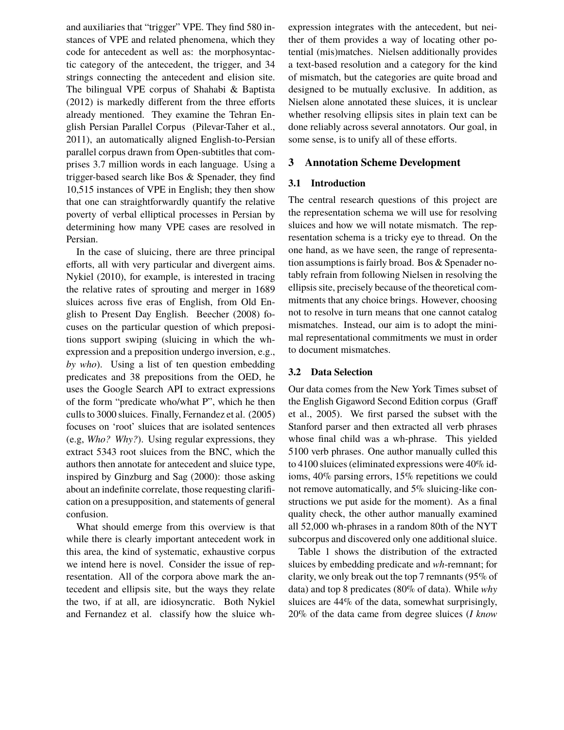and auxiliaries that "trigger" VPE. They find 580 instances of VPE and related phenomena, which they code for antecedent as well as: the morphosyntactic category of the antecedent, the trigger, and 34 strings connecting the antecedent and elision site. The bilingual VPE corpus of Shahabi & Baptista (2012) is markedly different from the three efforts already mentioned. They examine the Tehran English Persian Parallel Corpus (Pilevar-Taher et al., 2011), an automatically aligned English-to-Persian parallel corpus drawn from Open-subtitles that comprises 3.7 million words in each language. Using a trigger-based search like Bos & Spenader, they find 10,515 instances of VPE in English; they then show that one can straightforwardly quantify the relative poverty of verbal elliptical processes in Persian by determining how many VPE cases are resolved in Persian.

In the case of sluicing, there are three principal efforts, all with very particular and divergent aims. Nykiel (2010), for example, is interested in tracing the relative rates of sprouting and merger in 1689 sluices across five eras of English, from Old English to Present Day English. Beecher (2008) focuses on the particular question of which prepositions support swiping (sluicing in which the whexpression and a preposition undergo inversion, e.g., *by who*). Using a list of ten question embedding predicates and 38 prepositions from the OED, he uses the Google Search API to extract expressions of the form "predicate who/what P", which he then culls to 3000 sluices. Finally, Fernandez et al. (2005) focuses on 'root' sluices that are isolated sentences (e.g, *Who? Why?*). Using regular expressions, they extract 5343 root sluices from the BNC, which the authors then annotate for antecedent and sluice type, inspired by Ginzburg and Sag (2000): those asking about an indefinite correlate, those requesting clarification on a presupposition, and statements of general confusion.

What should emerge from this overview is that while there is clearly important antecedent work in this area, the kind of systematic, exhaustive corpus we intend here is novel. Consider the issue of representation. All of the corpora above mark the antecedent and ellipsis site, but the ways they relate the two, if at all, are idiosyncratic. Both Nykiel and Fernandez et al. classify how the sluice whexpression integrates with the antecedent, but neither of them provides a way of locating other potential (mis)matches. Nielsen additionally provides a text-based resolution and a category for the kind of mismatch, but the categories are quite broad and designed to be mutually exclusive. In addition, as Nielsen alone annotated these sluices, it is unclear whether resolving ellipsis sites in plain text can be done reliably across several annotators. Our goal, in some sense, is to unify all of these efforts.

# **3 Annotation Scheme Development**

### **3.1 Introduction**

The central research questions of this project are the representation schema we will use for resolving sluices and how we will notate mismatch. The representation schema is a tricky eye to thread. On the one hand, as we have seen, the range of representation assumptions is fairly broad. Bos & Spenader notably refrain from following Nielsen in resolving the ellipsis site, precisely because of the theoretical commitments that any choice brings. However, choosing not to resolve in turn means that one cannot catalog mismatches. Instead, our aim is to adopt the minimal representational commitments we must in order to document mismatches.

# **3.2 Data Selection**

Our data comes from the New York Times subset of the English Gigaword Second Edition corpus (Graff et al., 2005). We first parsed the subset with the Stanford parser and then extracted all verb phrases whose final child was a wh-phrase. This yielded 5100 verb phrases. One author manually culled this to 4100 sluices (eliminated expressions were 40% idioms, 40% parsing errors, 15% repetitions we could not remove automatically, and 5% sluicing-like constructions we put aside for the moment). As a final quality check, the other author manually examined all 52,000 wh-phrases in a random 80th of the NYT subcorpus and discovered only one additional sluice.

Table 1 shows the distribution of the extracted sluices by embedding predicate and *wh*-remnant; for clarity, we only break out the top 7 remnants (95% of data) and top 8 predicates (80% of data). While *why* sluices are 44% of the data, somewhat surprisingly, 20% of the data came from degree sluices (*I know*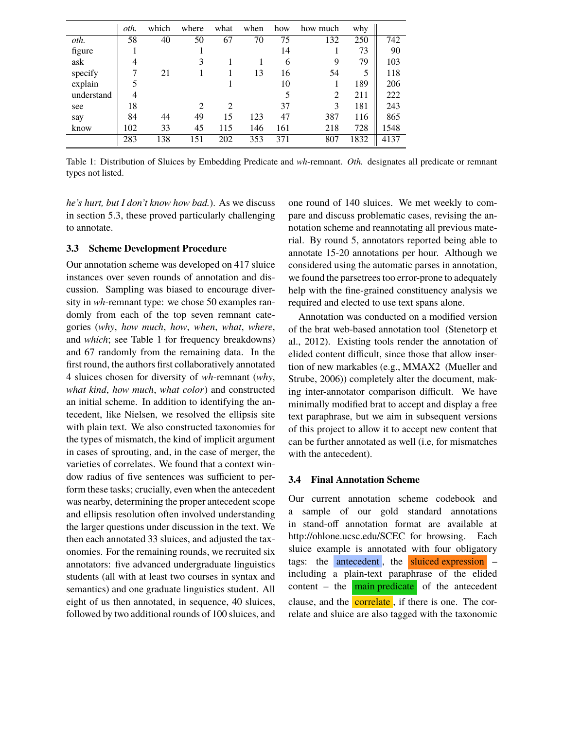|            | oth. | which | where                       | what           | when | how | how much | why  |      |
|------------|------|-------|-----------------------------|----------------|------|-----|----------|------|------|
| oth.       | 58   | 40    | 50                          | 67             | 70   | 75  | 132      | 250  | 742  |
| figure     |      |       |                             |                |      | 14  |          | 73   | 90   |
| ask        | 4    |       | 3                           |                |      | 6   | 9        | 79   | 103  |
| specify    |      | 21    |                             |                | 13   | 16  | 54       | 5    | 118  |
| explain    |      |       |                             |                |      | 10  |          | 189  | 206  |
| understand | 4    |       |                             |                |      | 5   | 2        | 211  | 222  |
| see        | 18   |       | $\mathcal{D}_{\mathcal{L}}$ | $\mathfrak{D}$ |      | 37  | 3        | 181  | 243  |
| say        | 84   | 44    | 49                          | 15             | 123  | 47  | 387      | 116  | 865  |
| know       | 102  | 33    | 45                          | 115            | 146  | 161 | 218      | 728  | 1548 |
|            | 283  | 138   | 151                         | 202            | 353  | 371 | 807      | 1832 | 4137 |

Table 1: Distribution of Sluices by Embedding Predicate and *wh*-remnant. *Oth.* designates all predicate or remnant types not listed.

*he's hurt, but I don't know how bad.*). As we discuss in section 5.3, these proved particularly challenging to annotate.

### **3.3 Scheme Development Procedure**

Our annotation scheme was developed on 417 sluice instances over seven rounds of annotation and discussion. Sampling was biased to encourage diversity in *wh*-remnant type: we chose 50 examples randomly from each of the top seven remnant categories (*why*, *how much*, *how*, *when*, *what*, *where*, and *which*; see Table 1 for frequency breakdowns) and 67 randomly from the remaining data. In the first round, the authors first collaboratively annotated 4 sluices chosen for diversity of *wh*-remnant (*why*, *what kind*, *how much*, *what color*) and constructed an initial scheme. In addition to identifying the antecedent, like Nielsen, we resolved the ellipsis site with plain text. We also constructed taxonomies for the types of mismatch, the kind of implicit argument in cases of sprouting, and, in the case of merger, the varieties of correlates. We found that a context window radius of five sentences was sufficient to perform these tasks; crucially, even when the antecedent was nearby, determining the proper antecedent scope and ellipsis resolution often involved understanding the larger questions under discussion in the text. We then each annotated 33 sluices, and adjusted the taxonomies. For the remaining rounds, we recruited six annotators: five advanced undergraduate linguistics students (all with at least two courses in syntax and semantics) and one graduate linguistics student. All eight of us then annotated, in sequence, 40 sluices, followed by two additional rounds of 100 sluices, and one round of 140 sluices. We met weekly to compare and discuss problematic cases, revising the annotation scheme and reannotating all previous material. By round 5, annotators reported being able to annotate 15-20 annotations per hour. Although we considered using the automatic parses in annotation, we found the parsetrees too error-prone to adequately help with the fine-grained constituency analysis we required and elected to use text spans alone.

Annotation was conducted on a modified version of the brat web-based annotation tool (Stenetorp et al., 2012). Existing tools render the annotation of elided content difficult, since those that allow insertion of new markables (e.g., MMAX2 (Mueller and Strube, 2006)) completely alter the document, making inter-annotator comparison difficult. We have minimally modified brat to accept and display a free text paraphrase, but we aim in subsequent versions of this project to allow it to accept new content that can be further annotated as well (i.e, for mismatches with the antecedent).

### **3.4 Final Annotation Scheme**

Our current annotation scheme codebook and a sample of our gold standard annotations in stand-off annotation format are available at http://ohlone.ucsc.edu/SCEC for browsing. Each sluice example is annotated with four obligatory tags: the antecedent , the sluiced expression – including a plain-text paraphrase of the elided content – the  $\frac{1}{\text{main predicate}}$  of the antecedent clause, and the  $\overline{\text{correlate}}$ , if there is one. The correlate and sluice are also tagged with the taxonomic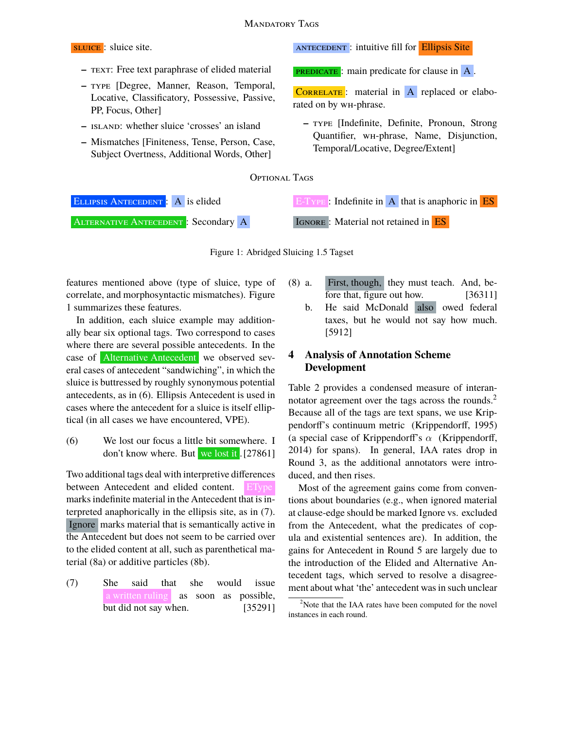

Figure 1: Abridged Sluicing 1.5 Tagset

features mentioned above (type of sluice, type of correlate, and morphosyntactic mismatches). Figure 1 summarizes these features.

In addition, each sluice example may additionally bear six optional tags. Two correspond to cases where there are several possible antecedents. In the case of Alternative Antecedent we observed several cases of antecedent "sandwiching", in which the sluice is buttressed by roughly synonymous potential antecedents, as in (6). Ellipsis Antecedent is used in cases where the antecedent for a sluice is itself elliptical (in all cases we have encountered, VPE).

(6) We lost our focus a little bit somewhere. I don't know where. But we lost it . [27861]

Two additional tags deal with interpretive differences between Antecedent and elided content. marks indefinite material in the Antecedent that is interpreted anaphorically in the ellipsis site, as in (7). Ignore marks material that is semantically active in the Antecedent but does not seem to be carried over to the elided content at all, such as parenthetical material (8a) or additive particles (8b).

(7) She said that she would issue a written ruling as soon as possible, but did not say when. [35291]

- (8) a. First, though, they must teach. And, before that, figure out how. [36311]
	- b. He said McDonald also owed federal taxes, but he would not say how much. [5912]

# **4 Analysis of Annotation Scheme Development**

Table 2 provides a condensed measure of interannotator agreement over the tags across the rounds.<sup>2</sup> Because all of the tags are text spans, we use Krippendorff's continuum metric (Krippendorff, 1995) (a special case of Krippendorff's  $\alpha$  (Krippendorff, 2014) for spans). In general, IAA rates drop in Round 3, as the additional annotators were introduced, and then rises.

Most of the agreement gains come from conventions about boundaries (e.g., when ignored material at clause-edge should be marked Ignore vs. excluded from the Antecedent, what the predicates of copula and existential sentences are). In addition, the gains for Antecedent in Round 5 are largely due to the introduction of the Elided and Alternative Antecedent tags, which served to resolve a disagreement about what 'the' antecedent was in such unclear

<sup>&</sup>lt;sup>2</sup>Note that the IAA rates have been computed for the novel instances in each round.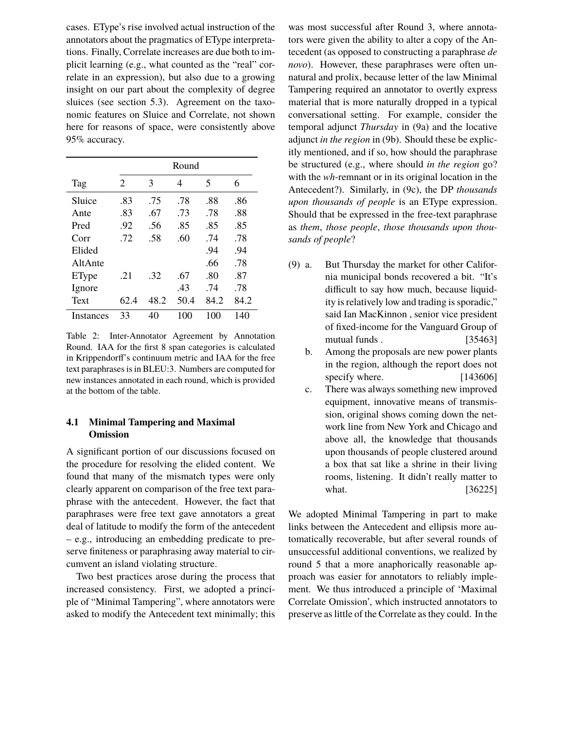cases. EType's rise involved actual instruction of the annotators about the pragmatics of EType interpretations. Finally, Correlate increases are due both to implicit learning (e.g., what counted as the "real" correlate in an expression), but also due to a growing insight on our part about the complexity of degree sluices (see section 5.3). Agreement on the taxonomic features on Sluice and Correlate, not shown here for reasons of space, were consistently above 95% accuracy.

|           | Round |      |      |      |      |  |  |  |  |
|-----------|-------|------|------|------|------|--|--|--|--|
| Tag       | 2     | 3    | 4    | 5    | 6    |  |  |  |  |
| Sluice    | .83   | .75  | .78  | .88  | .86  |  |  |  |  |
| Ante      | .83   | .67  | .73  | .78  | .88  |  |  |  |  |
| Pred      | .92   | .56  | .85  | .85  | .85  |  |  |  |  |
| Corr      | .72   | .58  | .60  | .74  | .78  |  |  |  |  |
| Elided    |       |      |      | .94  | .94  |  |  |  |  |
| AltAnte   |       |      |      | .66  | .78  |  |  |  |  |
| EType     | .21   | .32  | .67  | .80  | .87  |  |  |  |  |
| Ignore    |       |      | .43  | .74  | .78  |  |  |  |  |
| Text      | 62.4  | 48.2 | 50.4 | 84.2 | 84.2 |  |  |  |  |
| Instances | 33    | 40   | 100  | 100  | 140  |  |  |  |  |

Table 2: Inter-Annotator Agreement by Annotation Round. IAA for the first 8 span categories is calculated in Krippendorff's continuum metric and IAA for the free text paraphrases is in BLEU:3. Numbers are computed for new instances annotated in each round, which is provided at the bottom of the table.

# **4.1 Minimal Tampering and Maximal Omission**

A significant portion of our discussions focused on the procedure for resolving the elided content. We found that many of the mismatch types were only clearly apparent on comparison of the free text paraphrase with the antecedent. However, the fact that paraphrases were free text gave annotators a great deal of latitude to modify the form of the antecedent – e.g., introducing an embedding predicate to preserve finiteness or paraphrasing away material to circumvent an island violating structure.

Two best practices arose during the process that increased consistency. First, we adopted a principle of "Minimal Tampering", where annotators were asked to modify the Antecedent text minimally; this was most successful after Round 3, where annotators were given the ability to alter a copy of the Antecedent (as opposed to constructing a paraphrase *de novo*). However, these paraphrases were often unnatural and prolix, because letter of the law Minimal Tampering required an annotator to overtly express material that is more naturally dropped in a typical conversational setting. For example, consider the temporal adjunct *Thursday* in (9a) and the locative adjunct *in the region* in (9b). Should these be explicitly mentioned, and if so, how should the paraphrase be structured (e.g., where should *in the region* go? with the *wh*-remnant or in its original location in the Antecedent?). Similarly, in (9c), the DP *thousands upon thousands of people* is an EType expression. Should that be expressed in the free-text paraphrase as *them*, *those people*, *those thousands upon thousands of people*?

- (9) a. But Thursday the market for other California municipal bonds recovered a bit. "It's difficult to say how much, because liquidity is relatively low and trading is sporadic," said Ian MacKinnon , senior vice president of fixed-income for the Vanguard Group of mutual funds . [35463]
	- b. Among the proposals are new power plants in the region, although the report does not specify where. [143606]
	- c. There was always something new improved equipment, innovative means of transmission, original shows coming down the network line from New York and Chicago and above all, the knowledge that thousands upon thousands of people clustered around a box that sat like a shrine in their living rooms, listening. It didn't really matter to what. [36225]

We adopted Minimal Tampering in part to make links between the Antecedent and ellipsis more automatically recoverable, but after several rounds of unsuccessful additional conventions, we realized by round 5 that a more anaphorically reasonable approach was easier for annotators to reliably implement. We thus introduced a principle of 'Maximal Correlate Omission', which instructed annotators to preserve as little of the Correlate as they could. In the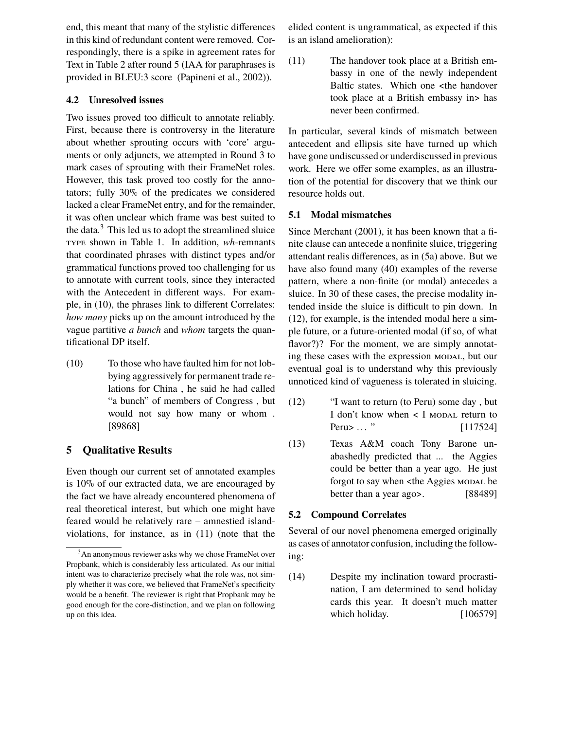end, this meant that many of the stylistic differences in this kind of redundant content were removed. Correspondingly, there is a spike in agreement rates for Text in Table 2 after round 5 (IAA for paraphrases is provided in BLEU:3 score (Papineni et al., 2002)).

### **4.2 Unresolved issues**

Two issues proved too difficult to annotate reliably. First, because there is controversy in the literature about whether sprouting occurs with 'core' arguments or only adjuncts, we attempted in Round 3 to mark cases of sprouting with their FrameNet roles. However, this task proved too costly for the annotators; fully 30% of the predicates we considered lacked a clear FrameNet entry, and for the remainder, it was often unclear which frame was best suited to the data.<sup>3</sup> This led us to adopt the streamlined sluice type shown in Table 1. In addition, *wh*-remnants that coordinated phrases with distinct types and/or grammatical functions proved too challenging for us to annotate with current tools, since they interacted with the Antecedent in different ways. For example, in (10), the phrases link to different Correlates: *how many* picks up on the amount introduced by the vague partitive *a bunch* and *whom* targets the quantificational DP itself.

(10) To those who have faulted him for not lobbying aggressively for permanent trade relations for China , he said he had called "a bunch" of members of Congress , but would not say how many or whom . [89868]

# **5 Qualitative Results**

Even though our current set of annotated examples is 10% of our extracted data, we are encouraged by the fact we have already encountered phenomena of real theoretical interest, but which one might have feared would be relatively rare – amnestied islandviolations, for instance, as in (11) (note that the elided content is ungrammatical, as expected if this is an island amelioration):

(11) The handover took place at a British embassy in one of the newly independent Baltic states. Which one <the handover took place at a British embassy in> has never been confirmed.

In particular, several kinds of mismatch between antecedent and ellipsis site have turned up which have gone undiscussed or underdiscussed in previous work. Here we offer some examples, as an illustration of the potential for discovery that we think our resource holds out.

### **5.1 Modal mismatches**

Since Merchant (2001), it has been known that a finite clause can antecede a nonfinite sluice, triggering attendant realis differences, as in (5a) above. But we have also found many (40) examples of the reverse pattern, where a non-finite (or modal) antecedes a sluice. In 30 of these cases, the precise modality intended inside the sluice is difficult to pin down. In (12), for example, is the intended modal here a simple future, or a future-oriented modal (if so, of what flavor?)? For the moment, we are simply annotating these cases with the expression modal, but our eventual goal is to understand why this previously unnoticed kind of vagueness is tolerated in sluicing.

- (12) "I want to return (to Peru) some day , but I don't know when < I modal return to Peru> ... " [117524]
- (13) Texas A&M coach Tony Barone unabashedly predicted that ... the Aggies could be better than a year ago. He just forgot to say when <the Aggies MODAL be better than a year ago>. [88489]

# **5.2 Compound Correlates**

Several of our novel phenomena emerged originally as cases of annotator confusion, including the following:

(14) Despite my inclination toward procrastination, I am determined to send holiday cards this year. It doesn't much matter which holiday. [106579]

<sup>&</sup>lt;sup>3</sup>An anonymous reviewer asks why we chose FrameNet over Propbank, which is considerably less articulated. As our initial intent was to characterize precisely what the role was, not simply whether it was core, we believed that FrameNet's specificity would be a benefit. The reviewer is right that Propbank may be good enough for the core-distinction, and we plan on following up on this idea.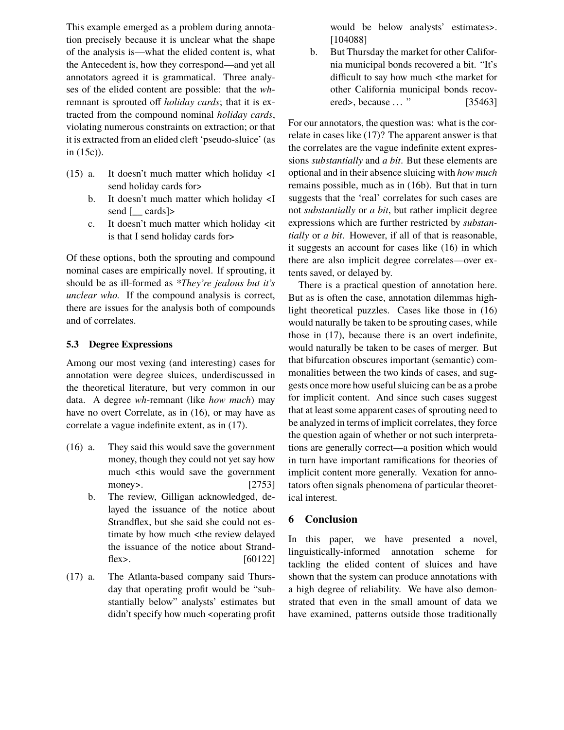This example emerged as a problem during annotation precisely because it is unclear what the shape of the analysis is—what the elided content is, what the Antecedent is, how they correspond—and yet all annotators agreed it is grammatical. Three analyses of the elided content are possible: that the *wh*remnant is sprouted off *holiday cards*; that it is extracted from the compound nominal *holiday cards*, violating numerous constraints on extraction; or that it is extracted from an elided cleft 'pseudo-sluice' (as in (15c)).

- (15) a. It doesn't much matter which holiday <I send holiday cards for>
	- b. It doesn't much matter which holiday <I send [ cards]>
	- c. It doesn't much matter which holiday <it is that I send holiday cards for>

Of these options, both the sprouting and compound nominal cases are empirically novel. If sprouting, it should be as ill-formed as *\*They're jealous but it's unclear who.* If the compound analysis is correct, there are issues for the analysis both of compounds and of correlates.

# **5.3 Degree Expressions**

Among our most vexing (and interesting) cases for annotation were degree sluices, underdiscussed in the theoretical literature, but very common in our data. A degree *wh*-remnant (like *how much*) may have no overt Correlate, as in (16), or may have as correlate a vague indefinite extent, as in (17).

- (16) a. They said this would save the government money, though they could not yet say how much <this would save the government money>. [2753]
	- b. The review, Gilligan acknowledged, delayed the issuance of the notice about Strandflex, but she said she could not estimate by how much <the review delayed the issuance of the notice about Strandflex>.  $[60122]$
- (17) a. The Atlanta-based company said Thursday that operating profit would be "substantially below" analysts' estimates but didn't specify how much <operating profit

would be below analysts' estimates>. [104088]

b. But Thursday the market for other California municipal bonds recovered a bit. "It's difficult to say how much <the market for other California municipal bonds recovered>, because ... " [35463]

For our annotators, the question was: what is the correlate in cases like (17)? The apparent answer is that the correlates are the vague indefinite extent expressions *substantially* and *a bit*. But these elements are optional and in their absence sluicing with *how much* remains possible, much as in (16b). But that in turn suggests that the 'real' correlates for such cases are not *substantially* or *a bit*, but rather implicit degree expressions which are further restricted by *substantially* or *a bit*. However, if all of that is reasonable, it suggests an account for cases like (16) in which there are also implicit degree correlates—over extents saved, or delayed by.

There is a practical question of annotation here. But as is often the case, annotation dilemmas highlight theoretical puzzles. Cases like those in (16) would naturally be taken to be sprouting cases, while those in (17), because there is an overt indefinite, would naturally be taken to be cases of merger. But that bifurcation obscures important (semantic) commonalities between the two kinds of cases, and suggests once more how useful sluicing can be as a probe for implicit content. And since such cases suggest that at least some apparent cases of sprouting need to be analyzed in terms of implicit correlates, they force the question again of whether or not such interpretations are generally correct—a position which would in turn have important ramifications for theories of implicit content more generally. Vexation for annotators often signals phenomena of particular theoretical interest.

# **6 Conclusion**

In this paper, we have presented a novel, linguistically-informed annotation scheme for tackling the elided content of sluices and have shown that the system can produce annotations with a high degree of reliability. We have also demonstrated that even in the small amount of data we have examined, patterns outside those traditionally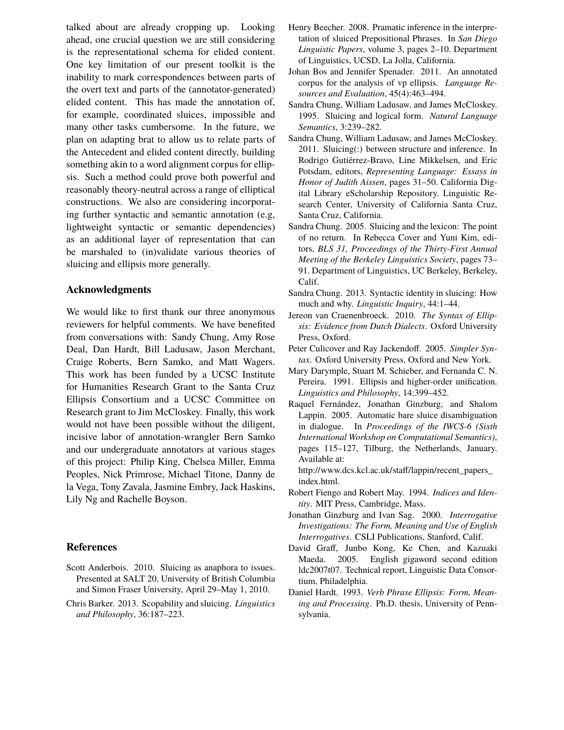talked about are already cropping up. Looking ahead, one crucial question we are still considering is the representational schema for elided content. One key limitation of our present toolkit is the inability to mark correspondences between parts of the overt text and parts of the (annotator-generated) elided content. This has made the annotation of, for example, coordinated sluices, impossible and many other tasks cumbersome. In the future, we plan on adapting brat to allow us to relate parts of the Antecedent and elided content directly, building something akin to a word alignment corpus for ellipsis. Such a method could prove both powerful and reasonably theory-neutral across a range of elliptical constructions. We also are considering incorporating further syntactic and semantic annotation (e.g, lightweight syntactic or semantic dependencies) as an additional layer of representation that can be marshaled to (in)validate various theories of sluicing and ellipsis more generally.

### **Acknowledgments**

We would like to first thank our three anonymous reviewers for helpful comments. We have benefited from conversations with: Sandy Chung, Amy Rose Deal, Dan Hardt, Bill Ladusaw, Jason Merchant, Craige Roberts, Bern Samko, and Matt Wagers. This work has been funded by a UCSC Institute for Humanities Research Grant to the Santa Cruz Ellipsis Consortium and a UCSC Committee on Research grant to Jim McCloskey. Finally, this work would not have been possible without the diligent, incisive labor of annotation-wrangler Bern Samko and our undergraduate annotators at various stages of this project: Philip King, Chelsea Miller, Emma Peoples, Nick Primrose, Michael Titone, Danny de la Vega, Tony Zavala, Jasmine Embry, Jack Haskins, Lily Ng and Rachelle Boyson.

### **References**

- Scott Anderbois. 2010. Sluicing as anaphora to issues. Presented at SALT 20, University of British Columbia and Simon Fraser University, April 29–May 1, 2010.
- Chris Barker. 2013. Scopability and sluicing. *Linguistics and Philosophy*, 36:187–223.
- Henry Beecher. 2008. Pramatic inference in the interpretation of sluiced Prepositional Phrases. In *San Diego Linguistic Papers*, volume 3, pages 2–10. Department of Linguistics, UCSD, La Jolla, California.
- Johan Bos and Jennifer Spenader. 2011. An annotated corpus for the analysis of vp ellipsis. *Language Resources and Evaluation*, 45(4):463–494.
- Sandra Chung, William Ladusaw, and James McCloskey. 1995. Sluicing and logical form. *Natural Language Semantics*, 3:239–282.
- Sandra Chung, William Ladusaw, and James McCloskey. 2011. Sluicing(:) between structure and inference. In Rodrigo Gutiérrez-Bravo, Line Mikkelsen, and Eric Potsdam, editors, *Representing Language: Essays in Honor of Judith Aissen*, pages 31–50. California Digital Library eScholarship Repository. Linguistic Research Center, University of California Santa Cruz, Santa Cruz, California.
- Sandra Chung. 2005. Sluicing and the lexicon: The point of no return. In Rebecca Cover and Yuni Kim, editors, *BLS 31, Proceedings of the Thirty-First Annual Meeting of the Berkeley Linguistics Society*, pages 73– 91. Department of Linguistics, UC Berkeley, Berkeley, Calif.
- Sandra Chung. 2013. Syntactic identity in sluicing: How much and why. *Linguistic Inquiry*, 44:1–44.
- Jereon van Craenenbroeck. 2010. *The Syntax of Ellipsis: Evidence from Dutch Dialects*. Oxford University Press, Oxford.
- Peter Culicover and Ray Jackendoff. 2005. *Simpler Syntax*. Oxford University Press, Oxford and New York.
- Mary Darymple, Stuart M. Schieber, and Fernanda C. N. Pereira. 1991. Ellipsis and higher-order unification. *Linguistics and Philosophy*, 14:399–452.
- Raquel Fernández, Jonathan Ginzburg, and Shalom Lappin. 2005. Automatic bare sluice disambiguation in dialogue. In *Proceedings of the IWCS-6 (Sixth International Workshop on Computational Semantics)*, pages 115–127, Tilburg, the Netherlands, January. Available at:

http://www.dcs.kcl.ac.uk/staff/lappin/recent\_papers\_ index.html.

- Robert Fiengo and Robert May. 1994. *Indices and Identity*. MIT Press, Cambridge, Mass.
- Jonathan Ginzburg and Ivan Sag. 2000. *Interrogative Investigations: The Form, Meaning and Use of English Interrogatives*. CSLI Publications, Stanford, Calif.
- David Graff, Junbo Kong, Ke Chen, and Kazuaki Maeda. 2005. English gigaword second edition ldc2007t07. Technical report, Linguistic Data Consortium, Philadelphia.
- Daniel Hardt. 1993. *Verb Phrase Ellipsis: Form, Meaning and Processing*. Ph.D. thesis, University of Pennsylvania.